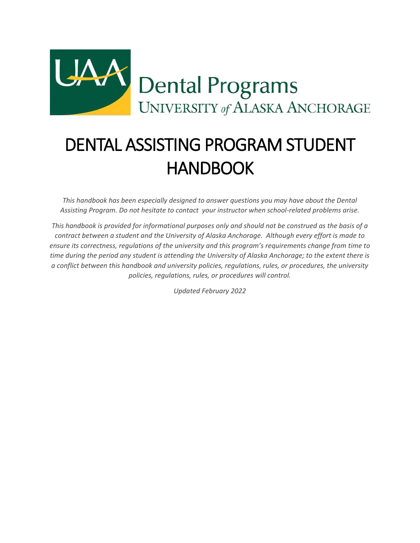

# DENTAL ASSISTING PROGRAM STUDENT HANDBOOK

*This handbook has been especially designed to answer questions you may have about the Dental Assisting Program. Do not hesitate to contact your instructor when school-related problems arise.*

*This handbook is provided for informational purposes only and should not be construed as the basis of a contract between a student and the University of Alaska Anchorage. Although every effort is made to ensure its correctness, regulations of the university and this program's requirements change from time to time during the period any student is attending the University of Alaska Anchorage; to the extent there is a conflict between this handbook and university policies, regulations, rules, or procedures, the university policies, regulations, rules, or procedures will control.*

*Updated February 2022*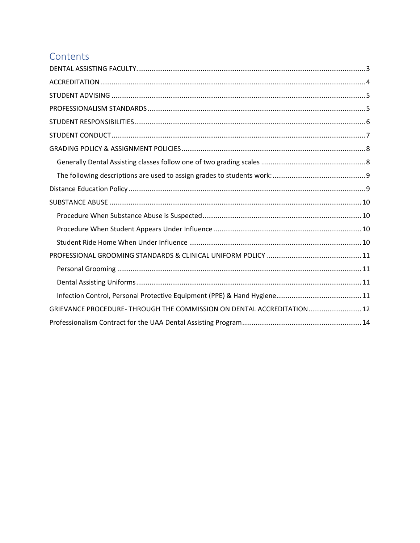## Contents

| GRIEVANCE PROCEDURE- THROUGH THE COMMISSION ON DENTAL ACCREDITATION 12 |  |
|------------------------------------------------------------------------|--|
|                                                                        |  |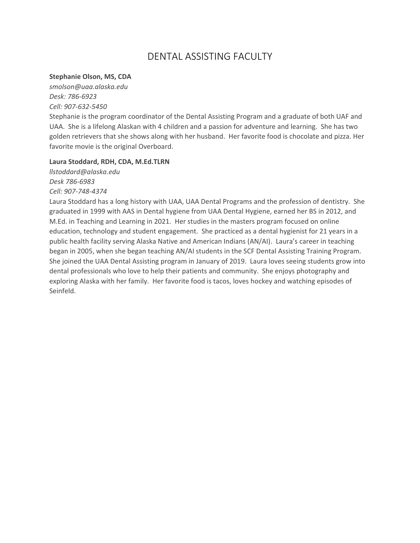## DENTAL ASSISTING FACULTY

#### <span id="page-2-0"></span>**Stephanie Olson, MS, CDA**

*smolson@uaa.alaska.edu Desk: 786-6923 Cell: 907-632-5450*

Stephanie is the program coordinator of the Dental Assisting Program and a graduate of both UAF and UAA. She is a lifelong Alaskan with 4 children and a passion for adventure and learning. She has two golden retrievers that she shows along with her husband. Her favorite food is chocolate and pizza. Her favorite movie is the original Overboard.

#### **Laura Stoddard, RDH, CDA, M.Ed.TLRN**

*llstoddard@alaska.edu Desk 786-6983 Cell: 907-748-4374*

Laura Stoddard has a long history with UAA, UAA Dental Programs and the profession of dentistry. She graduated in 1999 with AAS in Dental hygiene from UAA Dental Hygiene, earned her BS in 2012, and M.Ed. in Teaching and Learning in 2021. Her studies in the masters program focused on online education, technology and student engagement. She practiced as a dental hygienist for 21 years in a public health facility serving Alaska Native and American Indians (AN/AI). Laura's career in teaching began in 2005, when she began teaching AN/AI students in the SCF Dental Assisting Training Program. She joined the UAA Dental Assisting program in January of 2019. Laura loves seeing students grow into dental professionals who love to help their patients and community. She enjoys photography and exploring Alaska with her family. Her favorite food is tacos, loves hockey and watching episodes of Seinfeld.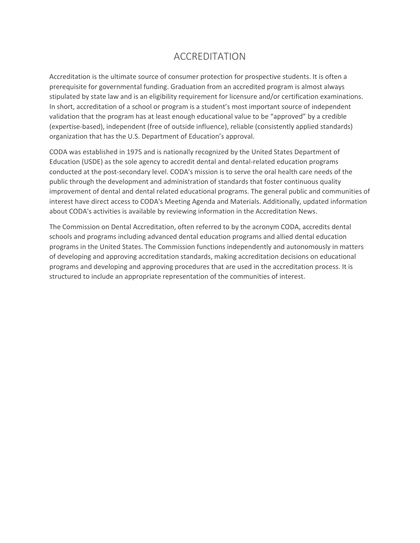### ACCREDITATION

<span id="page-3-0"></span>Accreditation is the ultimate source of consumer protection for prospective students. It is often a prerequisite for governmental funding. Graduation from an accredited program is almost always stipulated by state law and is an eligibility requirement for licensure and/or certification examinations. In short, accreditation of a school or program is a student's most important source of independent validation that the program has at least enough educational value to be "approved" by a credible (expertise-based), independent (free of outside influence), reliable (consistently applied standards) organization that has the U.S. Department of Education's approval.

CODA was established in 1975 and is nationally recognized by the United States Department of Education (USDE) as the sole agency to accredit dental and dental-related education programs conducted at the post-secondary level. CODA's mission is to serve the oral health care needs of the public through the development and administration of standards that foster continuous quality improvement of dental and dental related educational programs. The general public and communities of interest have direct access to CODA's Meeting Agenda and Materials. Additionally, updated information about CODA's activities is available by reviewing information in the Accreditation News.

The Commission on Dental Accreditation, often referred to by the acronym CODA, accredits dental schools and programs including advanced dental education programs and allied dental education programs in the United States. The Commission functions independently and autonomously in matters of developing and approving accreditation standards, making accreditation decisions on educational programs and developing and approving procedures that are used in the accreditation process. It is structured to include an appropriate representation of the communities of interest.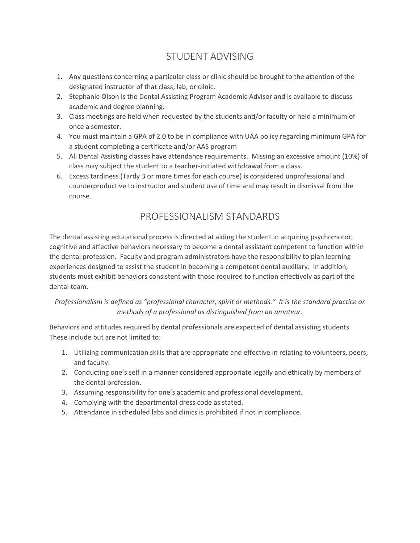## STUDENT ADVISING

- <span id="page-4-0"></span>1. Any questions concerning a particular class or clinic should be brought to the attention of the designated instructor of that class, lab, or clinic.
- 2. Stephanie Olson is the Dental Assisting Program Academic Advisor and is available to discuss academic and degree planning.
- 3. Class meetings are held when requested by the students and/or faculty or held a minimum of once a semester.
- 4. You must maintain a GPA of 2.0 to be in compliance with UAA policy regarding minimum GPA for a student completing a certificate and/or AAS program
- 5. All Dental Assisting classes have attendance requirements. Missing an excessive amount (10%) of class may subject the student to a teacher-initiated withdrawal from a class.
- 6. Excess tardiness (Tardy 3 or more times for each course) is considered unprofessional and counterproductive to instructor and student use of time and may result in dismissal from the course.

## PROFESSIONALISM STANDARDS

<span id="page-4-1"></span>The dental assisting educational process is directed at aiding the student in acquiring psychomotor, cognitive and affective behaviors necessary to become a dental assistant competent to function within the dental profession. Faculty and program administrators have the responsibility to plan learning experiences designed to assist the student in becoming a competent dental auxiliary. In addition, students must exhibit behaviors consistent with those required to function effectively as part of the dental team.

#### *Professionalism is defined as "professional character, spirit or methods." It is the standard practice or methods of a professional as distinguished from an amateur.*

Behaviors and attitudes required by dental professionals are expected of dental assisting students. These include but are not limited to:

- 1. Utilizing communication skills that are appropriate and effective in relating to volunteers, peers, and faculty.
- 2. Conducting one's self in a manner considered appropriate legally and ethically by members of the dental profession.
- 3. Assuming responsibility for one's academic and professional development.
- 4. Complying with the departmental dress code as stated.
- 5. Attendance in scheduled labs and clinics is prohibited if not in compliance.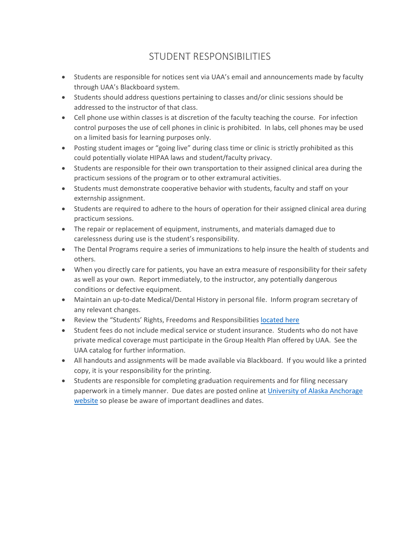## STUDENT RESPONSIBILITIES

- <span id="page-5-0"></span>• Students are responsible for notices sent via UAA's email and announcements made by faculty through UAA's Blackboard system.
- Students should address questions pertaining to classes and/or clinic sessions should be addressed to the instructor of that class.
- Cell phone use within classes is at discretion of the faculty teaching the course. For infection control purposes the use of cell phones in clinic is prohibited. In labs, cell phones may be used on a limited basis for learning purposes only.
- Posting student images or "going live" during class time or clinic is strictly prohibited as this could potentially violate HIPAA laws and student/faculty privacy.
- Students are responsible for their own transportation to their assigned clinical area during the practicum sessions of the program or to other extramural activities.
- Students must demonstrate cooperative behavior with students, faculty and staff on your externship assignment.
- Students are required to adhere to the hours of operation for their assigned clinical area during practicum sessions.
- The repair or replacement of equipment, instruments, and materials damaged due to carelessness during use is the student's responsibility.
- The Dental Programs require a series of immunizations to help insure the health of students and others.
- When you directly care for patients, you have an extra measure of responsibility for their safety as well as your own. Report immediately, to the instructor, any potentially dangerous conditions or defective equipment.
- Maintain an up-to-date Medical/Dental History in personal file. Inform program secretary of any relevant changes.
- Review the "Students' Rights, Freedoms and Responsibilities [located here](https://catalog.uaa.alaska.edu/academicpoliciesprocesses/studentfreedomsrightsandresponsibilities/)
- Student fees do not include medical service or student insurance. Students who do not have private medical coverage must participate in the Group Health Plan offered by UAA. See the UAA catalog for further information.
- All handouts and assignments will be made available via Blackboard. If you would like a printed copy, it is your responsibility for the printing.
- Students are responsible for completing graduation requirements and for filing necessary paperwork in a timely manner. Due dates are posted online at [University of Alaska Anchorage](https://www.uaa.alaska.edu/about/student-affairs/)  [website](https://www.uaa.alaska.edu/about/student-affairs/) so please be aware of important deadlines and dates.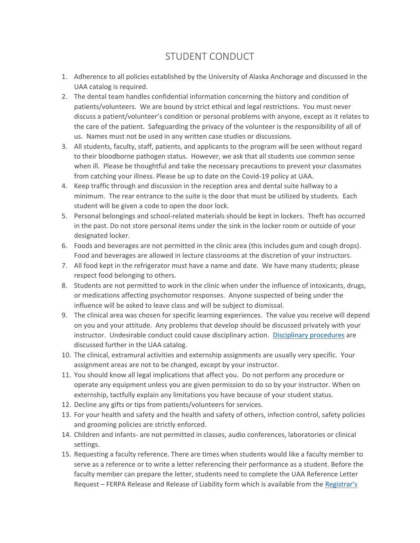## STUDENT CONDUCT

- <span id="page-6-0"></span>1. Adherence to all policies established by the University of Alaska Anchorage and discussed in the UAA catalog is required.
- 2. The dental team handles confidential information concerning the history and condition of patients/volunteers. We are bound by strict ethical and legal restrictions. You must never discuss a patient/volunteer's condition or personal problems with anyone, except as it relates to the care of the patient. Safeguarding the privacy of the volunteer is the responsibility of all of us. Names must not be used in any written case studies or discussions.
- 3. All students, faculty, staff, patients, and applicants to the program will be seen without regard to their bloodborne pathogen status. However, we ask that all students use common sense when ill. Please be thoughtful and take the necessary precautions to prevent your classmates from catching your illness. Please be up to date on the Covid-19 policy at UAA.
- 4. Keep traffic through and discussion in the reception area and dental suite hallway to a minimum. The rear entrance to the suite is the door that must be utilized by students. Each student will be given a code to open the door lock.
- 5. Personal belongings and school-related materials should be kept in lockers. Theft has occurred in the past. Do not store personal items under the sink in the locker room or outside of your designated locker.
- 6. Foods and beverages are not permitted in the clinic area (this includes gum and cough drops). Food and beverages are allowed in lecture classrooms at the discretion of your instructors.
- 7. All food kept in the refrigerator must have a name and date. We have many students; please respect food belonging to others.
- 8. Students are not permitted to work in the clinic when under the influence of intoxicants, drugs, or medications affecting psychomotor responses. Anyone suspected of being under the influence will be asked to leave class and will be subject to dismissal.
- 9. The clinical area was chosen for specific learning experiences. The value you receive will depend on you and your attitude. Any problems that develop should be discussed privately with your instructor. Undesirable conduct could cause disciplinary action. [Disciplinary procedures](https://www.uaa.alaska.edu/students/conduct/policies.cshtml) are discussed further in the UAA catalog.
- 10. The clinical, extramural activities and externship assignments are usually very specific. Your assignment areas are not to be changed, except by your instructor.
- 11. You should know all legal implications that affect you. Do not perform any procedure or operate any equipment unless you are given permission to do so by your instructor. When on externship, tactfully explain any limitations you have because of your student status.
- 12. Decline any gifts or tips from patients/volunteers for services.
- 13. For your health and safety and the health and safety of others, infection control, safety policies and grooming policies are strictly enforced.
- 14. Children and infants- are not permitted in classes, audio conferences, laboratories or clinical settings.
- 15. Requesting a faculty reference. There are times when students would like a faculty member to serve as a reference or to write a letter referencing their performance as a student. Before the faculty member can prepare the letter, students need to complete the UAA Reference Letter Request – FERPA Release and Release of Liability form which is available from the [Registrar's](https://www.uaa.alaska.edu/students/registrar/)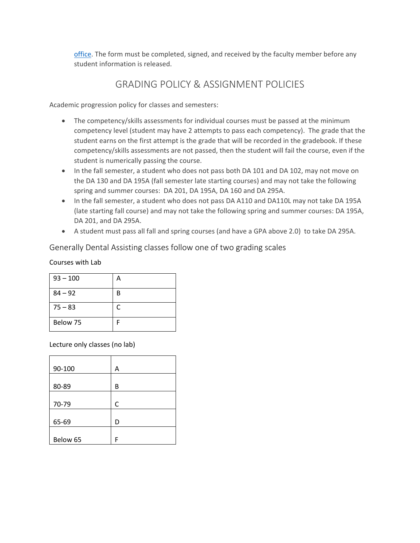[office.](https://www.uaa.alaska.edu/students/registrar/) The form must be completed, signed, and received by the faculty member before any student information is released.

## GRADING POLICY & ASSIGNMENT POLICIES

<span id="page-7-0"></span>Academic progression policy for classes and semesters:

- The competency/skills assessments for individual courses must be passed at the minimum competency level (student may have 2 attempts to pass each competency). The grade that the student earns on the first attempt is the grade that will be recorded in the gradebook. If these competency/skills assessments are not passed, then the student will fail the course, even if the student is numerically passing the course.
- In the fall semester, a student who does not pass both DA 101 and DA 102, may not move on the DA 130 and DA 195A (fall semester late starting courses) and may not take the following spring and summer courses: DA 201, DA 195A, DA 160 and DA 295A.
- In the fall semester, a student who does not pass DA A110 and DA110L may not take DA 195A (late starting fall course) and may not take the following spring and summer courses: DA 195A, DA 201, and DA 295A.
- A student must pass all fall and spring courses (and have a GPA above 2.0) to take DA 295A.

<span id="page-7-1"></span>Generally Dental Assisting classes follow one of two grading scales

Courses with Lab

| $93 - 100$ | А |
|------------|---|
| $84 - 92$  | В |
| $75 - 83$  | C |
| Below 75   |   |

Lecture only classes (no lab)

| 90-100   | Α |
|----------|---|
| 80-89    | В |
| 70-79    | С |
| 65-69    | D |
| Below 65 | F |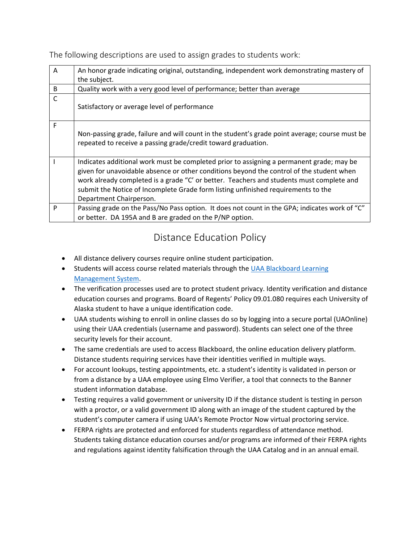<span id="page-8-0"></span>The following descriptions are used to assign grades to students work:

| $\overline{A}$ | An honor grade indicating original, outstanding, independent work demonstrating mastery of<br>the subject.                                                                                                                                                                                                                                                                                       |
|----------------|--------------------------------------------------------------------------------------------------------------------------------------------------------------------------------------------------------------------------------------------------------------------------------------------------------------------------------------------------------------------------------------------------|
| B              | Quality work with a very good level of performance; better than average                                                                                                                                                                                                                                                                                                                          |
| $\mathsf{C}$   | Satisfactory or average level of performance                                                                                                                                                                                                                                                                                                                                                     |
| F              | Non-passing grade, failure and will count in the student's grade point average; course must be<br>repeated to receive a passing grade/credit toward graduation.                                                                                                                                                                                                                                  |
|                | Indicates additional work must be completed prior to assigning a permanent grade; may be<br>given for unavoidable absence or other conditions beyond the control of the student when<br>work already completed is a grade "C' or better. Teachers and students must complete and<br>submit the Notice of Incomplete Grade form listing unfinished requirements to the<br>Department Chairperson. |
| P              | Passing grade on the Pass/No Pass option. It does not count in the GPA; indicates work of "C"                                                                                                                                                                                                                                                                                                    |
|                | or better. DA 195A and B are graded on the P/NP option.                                                                                                                                                                                                                                                                                                                                          |

## Distance Education Policy

- <span id="page-8-1"></span>• All distance delivery courses require online student participation.
- Students will access course related materials through the [UAA Blackboard Learning](https://classes.alaska.edu/)  [Management System.](https://classes.alaska.edu/)
- The verification processes used are to protect student privacy. Identity verification and distance education courses and programs. Board of Regents' Policy 09.01.080 requires each University of Alaska student to have a unique identification code.
- UAA students wishing to enroll in online classes do so by logging into a secure portal (UAOnline) using their UAA credentials (username and password). Students can select one of the three security levels for their account.
- The same credentials are used to access Blackboard, the online education delivery platform. Distance students requiring services have their identities verified in multiple ways.
- For account lookups, testing appointments, etc. a student's identity is validated in person or from a distance by a UAA employee using Elmo Verifier, a tool that connects to the Banner student information database.
- Testing requires a valid government or university ID if the distance student is testing in person with a proctor, or a valid government ID along with an image of the student captured by the student's computer camera if using UAA's Remote Proctor Now virtual proctoring service.
- FERPA rights are protected and enforced for students regardless of attendance method. Students taking distance education courses and/or programs are informed of their FERPA rights and regulations against identity falsification through the UAA Catalog and in an annual email.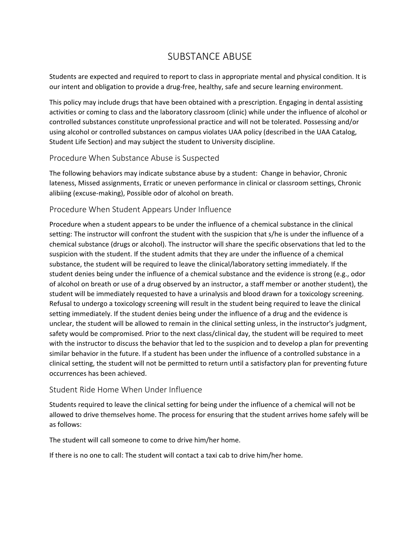### SUBSTANCE ABUSE

<span id="page-9-0"></span>Students are expected and required to report to class in appropriate mental and physical condition. It is our intent and obligation to provide a drug-free, healthy, safe and secure learning environment.

This policy may include drugs that have been obtained with a prescription. Engaging in dental assisting activities or coming to class and the laboratory classroom (clinic) while under the influence of alcohol or controlled substances constitute unprofessional practice and will not be tolerated. Possessing and/or using alcohol or controlled substances on campus violates UAA policy (described in the UAA Catalog, Student Life Section) and may subject the student to University discipline.

#### <span id="page-9-1"></span>Procedure When Substance Abuse is Suspected

The following behaviors may indicate substance abuse by a student: Change in behavior, Chronic lateness, Missed assignments, Erratic or uneven performance in clinical or classroom settings, Chronic alibiing (excuse-making), Possible odor of alcohol on breath.

#### <span id="page-9-2"></span>Procedure When Student Appears Under Influence

Procedure when a student appears to be under the influence of a chemical substance in the clinical setting: The instructor will confront the student with the suspicion that s/he is under the influence of a chemical substance (drugs or alcohol). The instructor will share the specific observations that led to the suspicion with the student. If the student admits that they are under the influence of a chemical substance, the student will be required to leave the clinical/laboratory setting immediately. If the student denies being under the influence of a chemical substance and the evidence is strong (e.g., odor of alcohol on breath or use of a drug observed by an instructor, a staff member or another student), the student will be immediately requested to have a urinalysis and blood drawn for a toxicology screening. Refusal to undergo a toxicology screening will result in the student being required to leave the clinical setting immediately. If the student denies being under the influence of a drug and the evidence is unclear, the student will be allowed to remain in the clinical setting unless, in the instructor's judgment, safety would be compromised. Prior to the next class/clinical day, the student will be required to meet with the instructor to discuss the behavior that led to the suspicion and to develop a plan for preventing similar behavior in the future. If a student has been under the influence of a controlled substance in a clinical setting, the student will not be permitted to return until a satisfactory plan for preventing future occurrences has been achieved.

#### <span id="page-9-3"></span>Student Ride Home When Under Influence

Students required to leave the clinical setting for being under the influence of a chemical will not be allowed to drive themselves home. The process for ensuring that the student arrives home safely will be as follows:

The student will call someone to come to drive him/her home.

If there is no one to call: The student will contact a taxi cab to drive him/her home.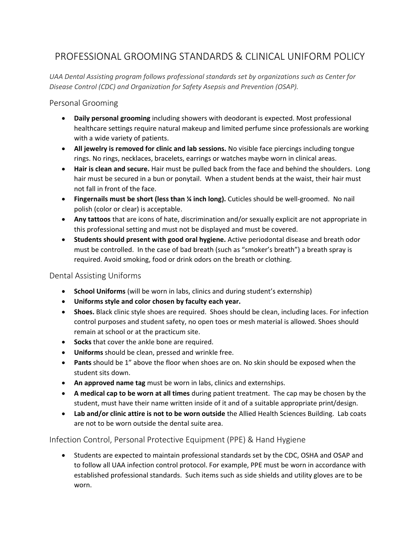## <span id="page-10-0"></span>PROFESSIONAL GROOMING STANDARDS & CLINICAL UNIFORM POLICY

*UAA Dental Assisting program follows professional standards set by organizations such as Center for Disease Control (CDC) and Organization for Safety Asepsis and Prevention (OSAP).*

#### <span id="page-10-1"></span>Personal Grooming

- **Daily personal grooming** including showers with deodorant is expected. Most professional healthcare settings require natural makeup and limited perfume since professionals are working with a wide variety of patients.
- **All jewelry is removed for clinic and lab sessions.** No visible face piercings including tongue rings. No rings, necklaces, bracelets, earrings or watches maybe worn in clinical areas.
- **Hair is clean and secure.** Hair must be pulled back from the face and behind the shoulders. Long hair must be secured in a bun or ponytail. When a student bends at the waist, their hair must not fall in front of the face.
- **Fingernails must be short (less than ¼ inch long).** Cuticles should be well-groomed. No nail polish (color or clear) is acceptable.
- **Any tattoos** that are icons of hate, discrimination and/or sexually explicit are not appropriate in this professional setting and must not be displayed and must be covered.
- **Students should present with good oral hygiene.** Active periodontal disease and breath odor must be controlled. In the case of bad breath (such as "smoker's breath") a breath spray is required. Avoid smoking, food or drink odors on the breath or clothing.

#### <span id="page-10-2"></span>Dental Assisting Uniforms

- **School Uniforms** (will be worn in labs, clinics and during student's externship)
- **Uniforms style and color chosen by faculty each year.**
- **Shoes.** Black clinic style shoes are required. Shoes should be clean, including laces. For infection control purposes and student safety, no open toes or mesh material is allowed. Shoes should remain at school or at the practicum site.
- **Socks** that cover the ankle bone are required.
- **Uniforms** should be clean, pressed and wrinkle free.
- **Pants** should be 1" above the floor when shoes are on. No skin should be exposed when the student sits down.
- **An approved name tag** must be worn in labs, clinics and externships.
- **A medical cap to be worn at all times** during patient treatment. The cap may be chosen by the student, must have their name written inside of it and of a suitable appropriate print/design.
- **Lab and/or clinic attire is not to be worn outside** the Allied Health Sciences Building. Lab coats are not to be worn outside the dental suite area.

#### <span id="page-10-3"></span>Infection Control, Personal Protective Equipment (PPE) & Hand Hygiene

• Students are expected to maintain professional standards set by the CDC, OSHA and OSAP and to follow all UAA infection control protocol. For example, PPE must be worn in accordance with established professional standards. Such items such as side shields and utility gloves are to be worn.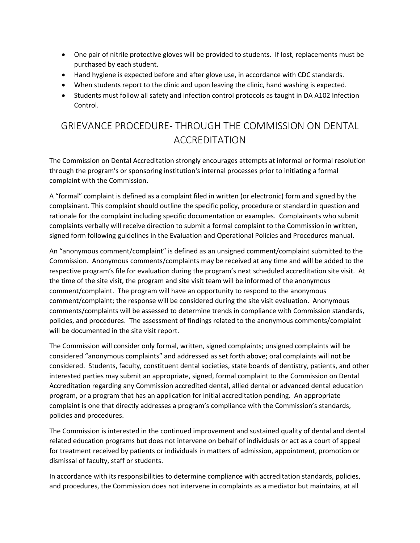- One pair of nitrile protective gloves will be provided to students. If lost, replacements must be purchased by each student.
- Hand hygiene is expected before and after glove use, in accordance with CDC standards.
- When students report to the clinic and upon leaving the clinic, hand washing is expected.
- Students must follow all safety and infection control protocols as taught in DA A102 Infection Control.

# <span id="page-11-0"></span>GRIEVANCE PROCEDURE- THROUGH THE COMMISSION ON DENTAL ACCREDITATION

The Commission on Dental Accreditation strongly encourages attempts at informal or formal resolution through the program's or sponsoring institution's internal processes prior to initiating a formal complaint with the Commission.

A "formal" complaint is defined as a complaint filed in written (or electronic) form and signed by the complainant. This complaint should outline the specific policy, procedure or standard in question and rationale for the complaint including specific documentation or examples. Complainants who submit complaints verbally will receive direction to submit a formal complaint to the Commission in written, signed form following guidelines in the Evaluation and Operational Policies and Procedures manual.

An "anonymous comment/complaint" is defined as an unsigned comment/complaint submitted to the Commission. Anonymous comments/complaints may be received at any time and will be added to the respective program's file for evaluation during the program's next scheduled accreditation site visit. At the time of the site visit, the program and site visit team will be informed of the anonymous comment/complaint. The program will have an opportunity to respond to the anonymous comment/complaint; the response will be considered during the site visit evaluation. Anonymous comments/complaints will be assessed to determine trends in compliance with Commission standards, policies, and procedures. The assessment of findings related to the anonymous comments/complaint will be documented in the site visit report.

The Commission will consider only formal, written, signed complaints; unsigned complaints will be considered "anonymous complaints" and addressed as set forth above; oral complaints will not be considered. Students, faculty, constituent dental societies, state boards of dentistry, patients, and other interested parties may submit an appropriate, signed, formal complaint to the Commission on Dental Accreditation regarding any Commission accredited dental, allied dental or advanced dental education program, or a program that has an application for initial accreditation pending. An appropriate complaint is one that directly addresses a program's compliance with the Commission's standards, policies and procedures.

The Commission is interested in the continued improvement and sustained quality of dental and dental related education programs but does not intervene on behalf of individuals or act as a court of appeal for treatment received by patients or individuals in matters of admission, appointment, promotion or dismissal of faculty, staff or students.

In accordance with its responsibilities to determine compliance with accreditation standards, policies, and procedures, the Commission does not intervene in complaints as a mediator but maintains, at all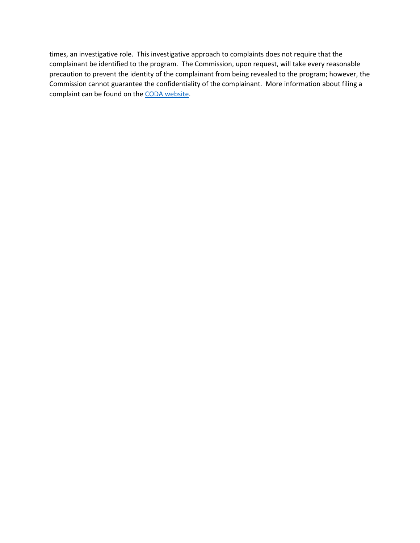times, an investigative role. This investigative approach to complaints does not require that the complainant be identified to the program. The Commission, upon request, will take every reasonable precaution to prevent the identity of the complainant from being revealed to the program; however, the Commission cannot guarantee the confidentiality of the complainant. More information about filing a complaint can be found on th[e CODA website.](http://www.ada.org/~/media/CODA/Files/coda_complaint_guidelines.pdf?la=en)